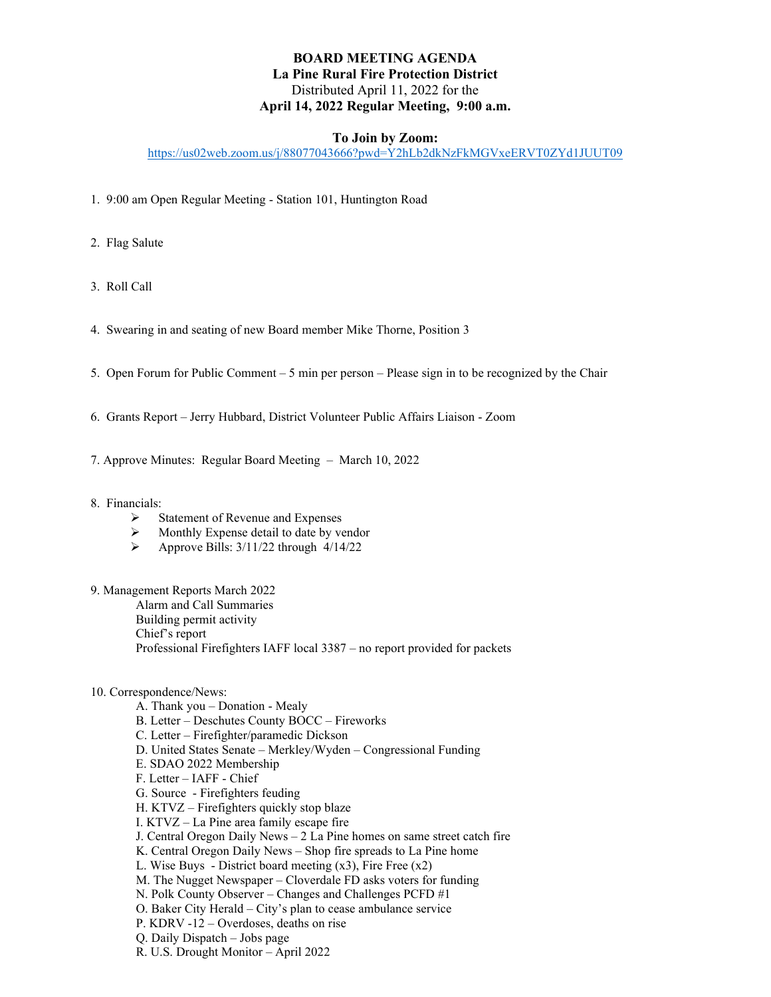# **BOARD MEETING AGENDA La Pine Rural Fire Protection District** Distributed April 11, 2022 for the **April 14, 2022 Regular Meeting, 9:00 a.m.**

## **To Join by Zoom:**

<https://us02web.zoom.us/j/88077043666?pwd=Y2hLb2dkNzFkMGVxeERVT0ZYd1JUUT09>

- 1. 9:00 am Open Regular Meeting Station 101, Huntington Road
- 2. Flag Salute
- 3. Roll Call
- 4. Swearing in and seating of new Board member Mike Thorne, Position 3
- 5. Open Forum for Public Comment 5 min per person Please sign in to be recognized by the Chair
- 6. Grants Report Jerry Hubbard, District Volunteer Public Affairs Liaison Zoom
- 7. Approve Minutes: Regular Board Meeting March 10, 2022
- 8. Financials:
	- $\triangleright$  Statement of Revenue and Expenses<br>  $\triangleright$  Monthly Expense detail to date by ve
	- $\triangleright$  Monthly Expense detail to date by vendor<br> $\triangleright$  Approve Bills: 3/11/22 through 4/14/22
	- Approve Bills: 3/11/22 through 4/14/22
- 9. Management Reports March 2022

Alarm and Call Summaries

Building permit activity

Chief's report

Professional Firefighters IAFF local 3387 – no report provided for packets

10. Correspondence/News:

A. Thank you – Donation - Mealy B. Letter – Deschutes County BOCC – Fireworks C. Letter – Firefighter/paramedic Dickson D. United States Senate – Merkley/Wyden – Congressional Funding E. SDAO 2022 Membership F. Letter – IAFF - Chief G. Source - Firefighters feuding H. KTVZ – Firefighters quickly stop blaze I. KTVZ – La Pine area family escape fire J. Central Oregon Daily News – 2 La Pine homes on same street catch fire K. Central Oregon Daily News – Shop fire spreads to La Pine home L. Wise Buys - District board meeting  $(x3)$ , Fire Free  $(x2)$ M. The Nugget Newspaper – Cloverdale FD asks voters for funding N. Polk County Observer – Changes and Challenges PCFD #1 O. Baker City Herald – City's plan to cease ambulance service P. KDRV -12 – Overdoses, deaths on rise Q. Daily Dispatch – Jobs page R. U.S. Drought Monitor – April 2022